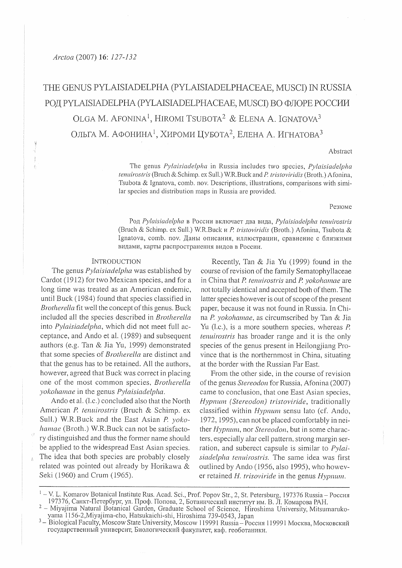# THE GENUS PYLAISIADELPHA (PYLAISIADELPHACEAE, MUSCI) IN RUSSIA РОД РҮLAISIADELPHA (PYLAISIADELPHACEAE, MUSCI) ВО ФЛОРЕ РОССИИ OLGA M. AFONINA<sup>1</sup>, HIROMI TSUBOTA<sup>2</sup> & ELENA A, IGNATOVA<sup>3</sup> ОЛЬГА М. АФОНИНА<sup>1</sup>, ХИРОМИ ЦУБОТА<sup>2</sup>, ЕЛЕНА А. ИГНАТОВА<sup>3</sup>

#### Abstract

The genus *Pylaisiadelpha* in Russia includes two species. *Pylaisiadelpha* tenuirostris (Bruch & Schimp. ex Sull.) W.R.Buck and P. tristoviridis (Broth.) Afonina, Tsubota & Ignatova, comb. nov. Descriptions, illustrations, comparisons with similar species and distribution maps in Russia are provided.

#### Резюме

Род Pylaisiadelpha в России включает два вида, Pylaisiadelpha tenuirostris (Bruch & Schimp. ex Sull.) W.R.Buck и P. tristoviridis (Broth.) Afonina. Tsubota & Ignatova, comb. nov. Даны описания, иллюстрации, сравнение с близкими видами, карты распространения вилов в России.

## **INTRODUCTION**

The genus *Pylaisiadelpha* was established by Cardot (1912) for two Mexican species, and for a long time was treated as an American endemic, until Buck (1984) found that species classified in Brotherella fit well the concept of this genus. Buck included all the species described in Brotherella into Pylaisiadelpha, which did not meet full acceptance, and Ando et al. (1989) and subsequent authors (e.g. Tan & Jia Yu, 1999) demonstrated that some species of *Brotherella* are distinct and that the genus has to be retained. All the authors, however, agreed that Buck was correct in placing one of the most common species, *Brotherella* yokohamae in the genus Pylaisiadelpha.

Ando et al. (l.c.) concluded also that the North American P. tenuirostris (Bruch & Schimp. ex Sull.) W.R.Buck and the East Asian P. vokohamae (Broth.) W.R.Buck can not be satisfactory distinguished and thus the former name should be applied to the widespread East Asian species. The idea that both species are probably closely related was pointed out already by Horikawa & Seki (1960) and Crum (1965).

Recently, Tan & Jia Yu (1999) found in the course of revision of the family Sematophyllaceae in China that P. tenuirostris and P. yokohamae are not totally identical and accepted both of them. The latter species however is out of scope of the present paper, because it was not found in Russia. In China P. yokohamae, as circumscribed by Tan & Jia Yu (l.c.), is a more southern species, whereas  $P$ . *tenuirostris* has broader range and it is the only species of the genus present in Heilongjiang Province that is the northernmost in China, situating at the border with the Russian Far East.

From the other side, in the course of revision of the genus Stereodon for Russia, Afonina (2007) came to conclusion, that one East Asian species, Hypnum (Stereodon) tristoviride, traditionally classified within Hypnum sensu lato (cf. Ando, 1972, 1995), can not be placed comfortably in neither *Hypnum*, nor *Stereodon*, but in some characters, especially alar cell pattern, strong margin serration, and suberect capsule is similar to  $Pvlai$ siadelpha tenuirostris. The same idea was first outlined by Ando (1956, also 1995), who however retained  $H$ . trisoviride in the genus  $Hypnum$ .

<sup>&</sup>lt;sup>1</sup> – V. L. Komarov Botanical Institute Rus. Acad. Sci., Prof. Popov Str., 2, St. Petersburg, 197376 Russia – Россия 197376, Санкт-Петербург, ул. Проф. Попова, 2, Ботанический институт им. В. Л. Комарова РАН.

<sup>&</sup>lt;sup>2</sup> - Miyajima Natural Botanical Garden, Graduate School of Science, Hiroshima University, Mitsumarukoуанна такили Болшкой Surveit, Surveit Surveit of Survey, Theorian Surveit Surveit (1999)<br>3 – Biological Faculty, Moscow State University, Moscow 119991 Russia – Россия 119991 Москва, Московский

государственный университ, Биологический факультет, каф. геоботаники.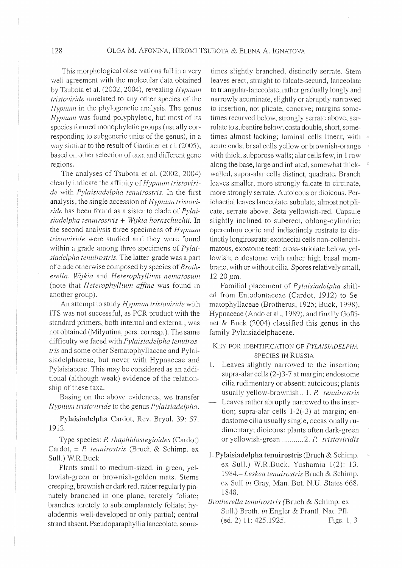This morphological observations fall in a very well agreement with the molecular data obtained by Tsubota et al. (2002, 2004), revealing *Hypnum tristoviride* unrelated to any other species of the *Hypnum* in the phylogenetic analysis. The genus *Hypnum* was found polyphyletic, but most of its species formed monophyletic groups (usually corresponding to subgeneric units of the genus), in a way similar to the result of Gardiner et al. (2005), based on other selection of taxa and different gene regions.

The analyses of Tsubota et al. (2002, 2004) clearly indicate the affinity of *Hypnum tristoviride* with *Pylaisiadelpha tenuirostris*. In the first analysis, the single accession of *Hypnum tristoviride* has been found as a sister to clade of *Pylaisiadelpha tenuirostris* + *Wijkia hornschuchii.* In the second analysis three specimens of *Hypnum tristoviride* were studied and they were found within a grade among three specimens of *Pylai*siadelpha tenuirostris. The latter grade was a part of clade othervvise composed by species of *Brotlzerella, Wijkia and Heterophyllium nematosum* (note that *Heteropliyllium affine* was found in another group).

An attempt to study *Hypnum tristoviride* with ITS was not successful, as PCR product with the standard primers, both internal and external, was not obtained (Milyutina, pers. corresp.). The same difficulty we faced with *Pylaisiadelpha tenuirostris* and some other Sematophyllaceae and Pylaisiadelphaceae, but never with Hypnaceae and Pylaisiaceae. This may be considered as an additional (although weak) evidence of the relationship of these taxa.

Basing on the above evidences, we transfer *HYPlllllll tristoviride* to the genus *Pylaisiadelpha.* 

Pylaisiadelpha Cardot, Rev. Bryol. 39: 57. 1912.

Type species: *P. rhaphidostegioides* (Cardot) Cardot, = P. tenuirostris (Bruch & Schimp. ex Sull.) W.R.Buck

Plants small to medium-sized, in green, yellowish-green or brownish-golden mats. Stems creeping, brownish or dark red, rather regularly pinnately branched in one plane, teretely foliate; branches teretely to subcomplanately foliate; hyalodermis well-developed or only partial; central strand absent. Pseudoparaphyllia lanceolate, some-

times slightly branched, distinctly serrate. Stem leaves erect, straight to falcate-secund, lanceolate to triangular-lanceolate, rather gradually longly and narrowly acuminate, slightly or abruptly narrowed to insertion, not plicate, concave; margins sometimes recurved below, strongly serrate above, serrulate to subentire below; costa double, short, sometimes almost lacking; laminal cells linear, with acute ends; basal cells yellow or brownish-orange with thick, subporose walls; alar cells few, in 1 row along the base, large and inflated, somewhat thickwalled, supra-alar cells distinct, quadrate. Branch leaves smaller, more strongly falcate to circinate, more strongly serrate. Autoicous or dioicous. Perichaetial leaves lanceolate, subulate, almost not plicate, serrate above. Seta yellowish-red. Capsule slightly inclined to suberect, oblong-cylindric; operculum conic and indisctincly rostrate to distinctly longirostrate; exothecial cells non-collenchimatous, exostome teeth cross-striolate below, yellowish; endostome with rather high basal membrane, with or without cilia. Spores relatively small,  $12-20 \mu m$ .

Familial placement of *Pylaisiadelpha* shifted from Entodontaceae (Cardot, 1912) to Sematophyllaceae (Brotherus, 1925; Buck, 1998), Hypnaceae (Ando et aI., 1989), and finally Goffinet & Buck (2004) classified this genus in the family Pylaisiadelphaceae.

## KEY FOR lDENTIFICATION OF *PYLAISIADELPHA*  SPECIES IN RUSSIA

- 1. Leaves slightly narrowed to the insertion; supra-alar cells (2-)3-7 at margin; endostome cilia rudimentary or absent; autoicous; plants usually yellow-brownish **..** 1. *P tenuirostris*
- Leaves rather abruptly narrowed to the insertion; supra-alar cells 1-2(-3) at margin; endostome cilia usually single, occasionally rudimentary; dioicous; plants often dark-green or yellowish-green **........... 2.** P *tristoviridis*
- 1. Pylaisiadelpha tenuirostris (Bruch & Schimp. ex Sull.) W.R.Buck, Yushamia 1(2): 13. 1984.- *Leskea tenuirostris* Bruch & Schimp. ex Sull *in* Gray, Man. Bot. N.U. States 668. 1848.
- *Brotlzerella tenuirostris* (Bruch & Schimp. ex Sull.) Broth. *in* Engler & Prantl, Nat. Pfl. (ed. 2) 11: 425.1925. Figs. 1,3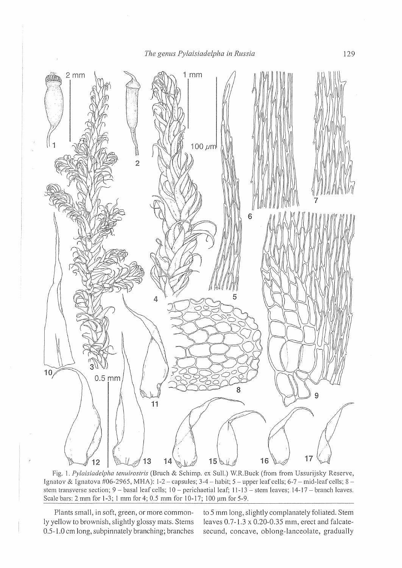*The genus Pylaisiadelpha in Russia 129* 



Fig. 1. *Pylaisiadelpha tenuirostris* (Bruch & Schimp. cx Sull.) W.R.Buck (from from Ussurijsky Rcscrvc, Ignatov & Ignatova #06-2965, MHA): 1-2 - capsules; 3-4 - habit; 5 - upper leaf cells; 6-7 - mid-leaf cells; 8 stem transverse section; 9 - basal leaf cells; 10 - perichaetial leaf; 11-13 - stem leaves; 14-17 - branch leaves. Scale bars: 2 mm for 1-3; 1 mm for 4; 0.5 mm for 10-17; 100  $\mu$ m for 5-9.

ly yellow to brownish, slightly glossy mats. Stems leaves  $0.7-1.3 \times 0.20-0.35$  mm, erect and falcate-0.5-1.0 cm long, subpinnately branching; branches secund, concave, oblong-Ianceolate, gradually

Plants small, in soft, green, or more common- to 5 mm long, slightly complanately foliated. Stem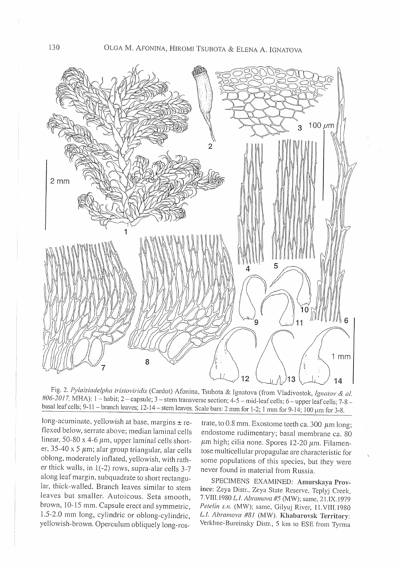

Fig. 2. *Pyla is iadelplz a tristoviridis* (Cardot) Afonina, Tsubota & Ignatova (from Vladivostok, *Ignatov* & *al. #06-2017,* MBA): 1 - habit; 2 - capsule; 3 - stem transverse section; 4-5 - mid-leaf cells; 6 - upper leaf cells; 7-8 basal leaf cells;  $9-11$  - branch leaves;  $12-14$  - stem leaves. Scale bars: 2 mm for 1-2; 1 mm for 9-14; 100  $\mu$ m for 3-8.

long-acuminate, yellowish at base, margins  $\pm$  reflexed below, serrate above; median laminal cells linear, 50-80 x 4-6  $\mu$ m, upper laminal cells shorter, 35-40 x 5  $\mu$ m; alar group triangular, alar cells oblong, moderately inflated, yellowish, with rather thick walls, in 1(-2) rows, supra-alar cells 3-7 along leaf margin, subquadrate to short rectangular, thick-walled. Branch leaves similar to stem leaves but smaller. Autoicous. Seta smooth, brown, 10-15 mm. Capsule erect and symmetric, 1.5-2.0 mm long, cylindric or oblong-cylindric, yellowish-brown. Operculum obliquely long-ros-

trate, to 0.8 mm. Exostome teeth ca. 300  $\mu$ m long; endostome rudimentary; basal membrane ca. 80  $\mu$ m high; cilia none. Spores 12-20  $\mu$ m. Filamentose multicellular propagulae are characteristic for some populations of this species, but they were never found in material from Russia.

SPECIMENS EXAMINED: Amurskaya Province: Zeya Distr., Zeya State Reserve, TepJyj Creek, 7.VIII.l980 L.l. *Abramova* #5 (MW); same, 2l.IX.1979 Petelin s.n. (MW); same, Gilyuj River, 11. VIII. 1980 L.l. *Abramova* #81 (MW). Khabarovsk Territory: Verkhne-Bureinsky Distr., 5 km to ESE from Tyrma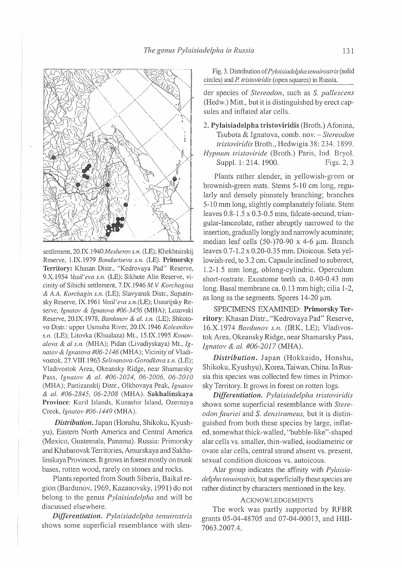

settlement, 20.IX.1940 *Mesherov* S.n. (LE); Khekhtsirskij Reserve, UX.1979 *Bondartseva* S.n. (LE). Primorsky Territory: Khasan Distr., "Kedrovaya Pad" Reserve, 9.x.19S4 *Vasil'eva* S.n. (LE); Sikhote Alin Reserve, vicinity of Sibichi settlement, 7.IX.1946 *M.* \,.: *Korchagina*  & *A.A. Korchagin s.n.* (LE); Slavyansk Distr., Suputinsky Reserve, IX.1961 *Vasil 'eva* s.n.(LE); Ussurijsky Reserve, *Ignatov* & *Ignatova #06-3456* (MHA); Lozovski Reserve, 20.IX.1978, *Bardunov & al. s.n.* (LE); Shkotovo Distr.: upper Usmuha River, 20.IX.1946 *Kolesnikov* s.n. (LE); Litovka (Khualaza) Mt., 15.IX.1995 Konov*alova* & *al* S.n. (MBA); Pidan (Livadiyskaya) Mt., *Ignatov & Ignatova #06-2146* (MHA); Vicinity of Vladivostok, 27. VIII.1963 Selivanova-Gorodkova s.n. (LE); Vladivostok Area, Okeansky Ridge, near Shamarsky Pass, *Ignatov* & *al. #06-2024, 06-2006, 06-2010*  (MBA); Partizanskij Distr., Olkhovaya Peak, *Ignatov*  & *al. #06-2845, 06-2308* (MBA). Sakhalinskaya Province: Kuril Islands, Kunashir Island, Ozernaya Creek, *Ignatov #06-1449* (MBA).

*Distribution.* Japan (Honshu, Shikoku, Kyushyu), Eastern North America and Central America (Mexico, Guatemala, Panama). Russia: Primorsky and Khabarovsk Territories, Amurskaya and Sakhalinskaya Provinces. It grows in forest mostly on trunk bases, rotten wood, rarely on stones and rocks.

Plants reported from South Siberia, Baikal region (Bardunov, 1969, Kazanovsky, 1991) do not belong to the genus *Pylaisiadelpha* and will be discussed elsewhere.

*Differentiation. Pylaisiadelpha tenuirostris*  shows some superficial resemblance with slen-

Fig. 3. Distribution *ofPylaisiadelpha tenuirostris* (solid circles) and *P. tristoviridis* (open squares) in Russia.

der species of *Stereodon*, such as *S. pallescens* (Hedw.) Mitt., but it is distinguished by erect capsules and inflated alar cells.

2. Pylaisiadelpha tristoviridis (Broth.) Afonina, Tsubota & Ignatova, comb. nov. - *Stereodon tristoviridis* Broth., Hedwigia 38: 234. 1899. *Hypnum tristoviride* (Broth.) Paris, Ind. Bryol. Suppl. 1: 214. 1900. Figs. 2, 3

Plants rather slender, in yellowish-green or brownish-green mats. Stems 5-10 cm long, regularly and densely pinnately branching; branches 5-10 mmlong, slightly complanately foliate. Stem leaves 0.8-1.5 x 0.3-0.5 mm, falcate-secund, triangular-lanceolate, rather abruptly narrowed to the insertion, gradually longly and narrowly acuminate; median leaf cells (50-)70-90  $x$  4-6  $\mu$ m. Branch leaves 0.7-1.2 x 0.20-0.35 mm. Dioicous. Seta yellowish-red, to 3.2 cm. Capsule inclined to suberect, 1.2-1.5 mm long, oblong-cylindric. Operculum short-rostrate. Exostome teeth ca. 0.40-0.43 mm long. Basal membrane ca. 0.13 mm high; cilia 1-2, as long as the segments. Spores  $14-20 \mu m$ .

SPECIMENS EXAMINED: Primorsky Territory: Khasan Distr., "Kedrovaya Pad" Reserve, 16.X.1974 *Bardunov s.n.* (IRK, LE); Vladivostok Area, Okeansky Ridge, near Shamarsky Pass, *Ignatov* & *al.* #06-2017 (MHA).

*Distribution.* Japan (Hokkaido, Honshu, Shikoku, Kyushyu), Korea, Taiwan, China. In Russia this species was collected few times in Primorsky Territory. It grows in forest on rotten logs.

*Differentiation. Pylaisiadelpha tristoviridis*  shows some superficial resemblance with *Stere-* $\alpha$ *don fauriei* and *S. densirameus*, but it is distinguished from both these species by large, inflated, somewhat thick-walled, "bubble-like"-shaped alar cells vs. smaller, thin-walled, isodiametric or ovate alar cells, central strand absent vs. present, sexual condition dioicous vs. autoicous.

Alar group indicates the affinity with *Pylaisiadelpha tenuirostris, but superficially these species are* rather distinct by characters mentioned in the key.

## ACKNOWLEDGEMENTS

The work was partly supported by RFBR grants 05-04-48705 and 07-04-00013, and Hill-7063.2007.4.